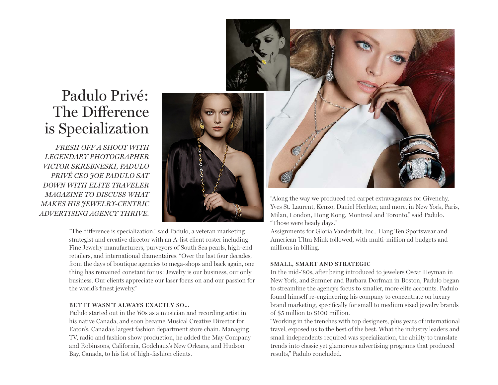# Padulo Privé: The Difference is Specialization

*FRESH OFF A SHOOT WITH LEGENDARY PHOTOGRAPHER VICTOR SKREBNESKI, PADULO PRIVÉ CEO JOE PADULO SAT DOWN WITH ELITE TRAVELER MAGAZINE TO DISCUSS WHAT MAKES HIS JEWELRY-CENTRIC ADVERTISING AGENCY THRIVE.* 



"The difference is specialization," said Padulo, a veteran marketing strategist and creative director with an A-list client roster including Fine Jewelry manufacturers, purveyors of South Sea pearls, high-end retailers, and international diamentaires. "Over the last four decades, from the days of boutique agencies to mega-shops and back again, one thing has remained constant for us: Jewelry is our business, our only business. Our clients appreciate our laser focus on and our passion for the world's finest jewelry."

## **BUT IT WASN'T ALWAYS EXACTLY SO...**

Padulo started out in the '60s as a musician and recording artist in his native Canada, and soon became Musical Creative Director for Eaton's, Canada's largest fashion department store chain. Managing TV, radio and fashion show production, he added the May Company and Robinsons, California, Godchaux's New Orleans, and Hudson Bay, Canada, to his list of high-fashion clients.

"Along the way we produced red carpet extravaganzas for Givenchy, Yves St. Laurent, Kenzo, Daniel Hechter, and more, in New York, Paris, Milan, London, Hong Kong, Montreal and Toronto," said Padulo. "Those were heady days."

Assignments for Gloria Vanderbilt, Inc., Hang Ten Sportswear and American Ultra Mink followed, with multi-million ad budgets and millions in billing.

# **SMALL, SMART AND STRATEGIC**

In the mid-'80s, after being introduced to jewelers Oscar Heyman in New York, and Sumner and Barbara Dorfman in Boston, Padulo began to streamline the agency's focus to smaller, more elite accounts. Padulo found himself re-engineering his company to concentrate on luxury brand marketing, specifically for small to medium sized jewelry brands of \$5 million to \$100 million.

"Working in the trenches with top designers, plus years of international travel, exposed us to the best of the best. What the industry leaders and small independents required was specialization, the ability to translate trends into classic yet glamorous advertising programs that produced results," Padulo concluded.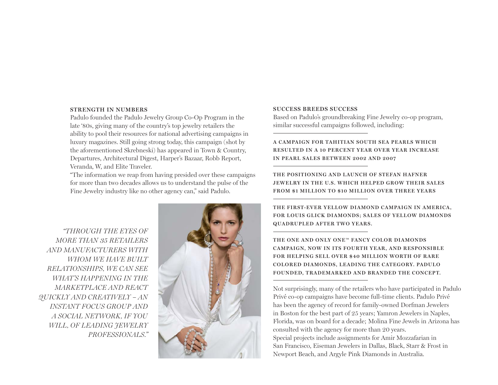#### **STRENGTH IN NUMBERS**

Padulo founded the Padulo Jewelry Group Co-Op Program in the late '80s, giving many of the country's top jewelry retailers the ability to pool their resources for national advertising campaigns in luxury magazines. Still going strong today, this campaign (shot by the aforementioned Skrebneski) has appeared in Town & Country, Departures, Architectural Digest, Harper's Bazaar, Robb Report, Veranda, W, and Elite Traveler.

"The information we reap from having presided over these campaigns for more than two decades allows us to understand the pulse of the Fine Jewelry industry like no other agency can," said Padulo.

*"THROUGH THE EYES OF MORE THAN 35 RETAILERS AND MANUFACTURERS WITH WHOM WE HAVE BUILT RELATIONSHIPS, WE CAN SEE WHAT'S HAPPENING IN THE MARKETPLACE AND REACT QUICKLY AND CREATIVELY – AN INSTANT FOCUS GROUP AND A SOCIAL NETWORK, IF YOU WILL, OF LEADING JEWELRY PROFESSIONALS."*



#### **SUCCESS BREEDS SUCCESS**

Based on Padulo's groundbreaking Fine Jewelry co-op program, similar successful campaigns followed, including:

**A CAMPAIGN FOR TAHITIAN SOUTH SEA PEARLS WHICH RESULTED IN A 10 PERCENT YEAR OVER YEAR INCREASE IN PEARL SALES BETWEEN 2002 AND 2007** 

**THE POSITIONING AND LAUNCH OF STEFAN HAFNER JEWELRY IN THE U.S. WHICH HELPED GROW THEIR SALES FROM \$1 MILLION TO \$10 MILLION OVER THREE YEARS** 

THE FIRST-EVER YELLOW DIAMOND CAMPAIGN IN AMERICA, FOR LOUIS GLICK DIAMONDS: SALES OF YELLOW DIAMONDS **QUADRUPLED AFTER TWO YEARS.**

THE ONE AND ONLY ONE™ FANCY COLOR DIAMONDS **CAMPAIGN, NOW IN ITS FOURTH YEAR, AND RESPONSIBLE FOR HELPING SELL OVER \$40 MILLION WORTH OF RARE COLORED DIAMONDS, LEADING THE CATEGORY. PADULO FOUNDED, TRADEMARKED AND BRANDED THE CONCEPT.**

Not surprisingly, many of the retailers who have participated in Padulo Privé co-op campaigns have become full-time clients. Padulo Privé has been the agency of record for family-owned Dorfman Jewelers in Boston for the best part of 25 years; Yamron Jewelers in Naples, Florida, was on board for a decade; Molina Fine Jewels in Arizona has consulted with the agency for more than 20 years. Special projects include assignments for Amir Mozzafarian in San Francisco, Eiseman Jewelers in Dallas, Black, Starr & Frost in Newport Beach, and Argyle Pink Diamonds in Australia.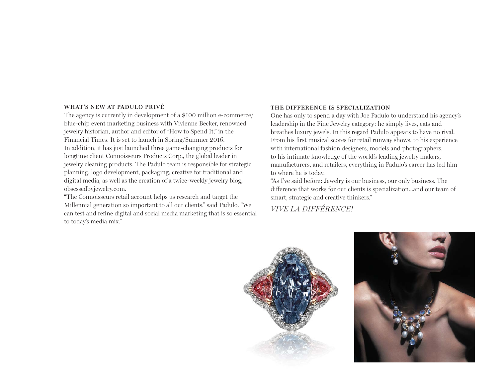### **WHAT'S NEW AT PADULO PRIVÉ**

The agency is currently in development of a \$100 million e-commerce/ blue-chip event marketing business with Vivienne Becker, renowned jewelry historian, author and editor of "How to Spend It," in the Financial Times. It is set to launch in Spring/Summer 2016. In addition, it has just launched three game-changing products for longtime client Connoisseurs Products Corp., the global leader in jewelry cleaning products. The Padulo team is responsible for strategic planning, logo development, packaging, creative for traditional and digital media, as well as the creation of a twice-weekly jewelry blog, obsessedbyjewelry.com.

"The Connoisseurs retail account helps us research and target the Millennial generation so important to all our clients," said Padulo. "We can test and refine digital and social media marketing that is so essential to today's media mix."

#### **THE DIFFERENCE IS SPECIALIZATION**

One has only to spend a day with Joe Padulo to understand his agency's leadership in the Fine Jewelry category: he simply lives, eats and breathes luxury jewels. In this regard Padulo appears to have no rival. From his first musical scores for retail runway shows, to his experience with international fashion designers, models and photographers, to his intimate knowledge of the world's leading jewelry makers, manufacturers, and retailers, everything in Padulo's career has led him to where he is today.

"As I've said before: Jewelry is our business, our only business. The difference that works for our clients is specialization...and our team of smart, strategic and creative thinkers."

*VIVE LA DIFFÉRENCE!*